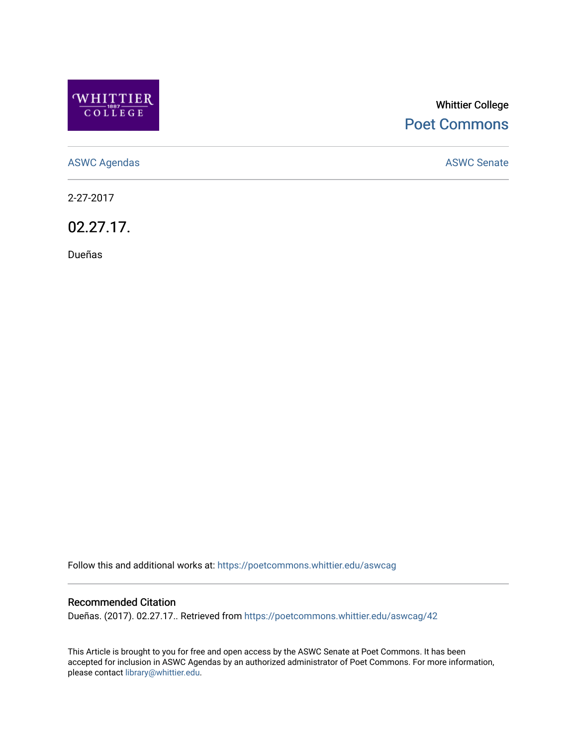

## Whittier College [Poet Commons](https://poetcommons.whittier.edu/)

[ASWC Agendas](https://poetcommons.whittier.edu/aswcag) **ASWC Senate** 

2-27-2017

02.27.17.

Dueñas

Follow this and additional works at: [https://poetcommons.whittier.edu/aswcag](https://poetcommons.whittier.edu/aswcag?utm_source=poetcommons.whittier.edu%2Faswcag%2F42&utm_medium=PDF&utm_campaign=PDFCoverPages) 

## Recommended Citation

Dueñas. (2017). 02.27.17.. Retrieved from [https://poetcommons.whittier.edu/aswcag/42](https://poetcommons.whittier.edu/aswcag/42?utm_source=poetcommons.whittier.edu%2Faswcag%2F42&utm_medium=PDF&utm_campaign=PDFCoverPages) 

This Article is brought to you for free and open access by the ASWC Senate at Poet Commons. It has been accepted for inclusion in ASWC Agendas by an authorized administrator of Poet Commons. For more information, please contact [library@whittier.edu](mailto:library@whittier.edu).